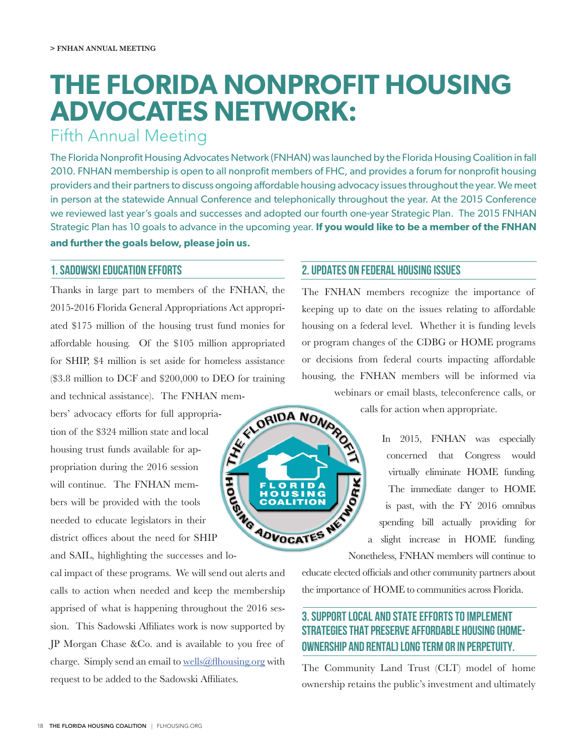# **THE FLORIDA NONPROFIT HOUSING ADVOCATES NETWORK:**

## Fifth Annual Meeting

The Florida Nonprofit Housing Advocates Network (FNHAN) was launched by the Florida Housing Coalition in fall 2010. FNHAN membership is open to all nonprofit members of FHC, and provides a forum for nonprofit housing providers and their partners to discuss ongoing affordable housing advocacy issues throughout the year. We meet in person at the statewide Annual Conference and telephonically throughout the year. At the 2015 Conference we reviewed last year's goals and successes and adopted our fourth one-year Strategic Plan. The 2015 FNHAN Strategic Plan has 10 goals to advance in the upcoming year. **If you would like to be a member of the FNHAN and further the goals below, please join us.**

#### 1. Sadowski Education Efforts

Thanks in large part to members of the FNHAN, the 2015-2016 Florida General Appropriations Act appropriated \$175 million of the housing trust fund monies for affordable housing. Of the \$105 million appropriated for SHIP, \$4 million is set aside for homeless assistance (\$3.8 million to DCF and \$200,000 to DEO for training and technical assistance). The FNHAN mem-

bers' advocacy efforts for full appropriation of the \$324 million state and local housing trust funds available for appropriation during the 2016 session will continue. The FNHAN members will be provided with the tools needed to educate legislators in their district offices about the need for SHIP

and SAIL, highlighting the successes and lo-

cal impact of these programs. We will send out alerts and calls to action when needed and keep the membership apprised of what is happening throughout the 2016 session. This Sadowski Affiliates work is now supported by JP Morgan Chase &Co. and is available to you free of charge. Simply send an email to wells@flhousing.org with request to be added to the Sadowski Affiliates.

#### 2. Updates on Federal Housing Issues

The FNHAN members recognize the importance of keeping up to date on the issues relating to affordable housing on a federal level. Whether it is funding levels or program changes of the CDBG or HOME programs or decisions from federal courts impacting affordable housing, the FNHAN members will be informed via



calls for action when appropriate.

In 2015, FNHAN was especially concerned that Congress would virtually eliminate HOME funding. The immediate danger to HOME is past, with the FY 2016 omnibus spending bill actually providing for a slight increase in HOME funding. Nonetheless, FNHAN members will continue to

educate elected officials and other community partners about the importance of HOME to communities across Florida.

### 3. Support local and state efforts to implement strategies that preserve affordable housing (homeownership and rental) long term or in perpetuity.

The Community Land Trust (CLT) model of home ownership retains the public's investment and ultimately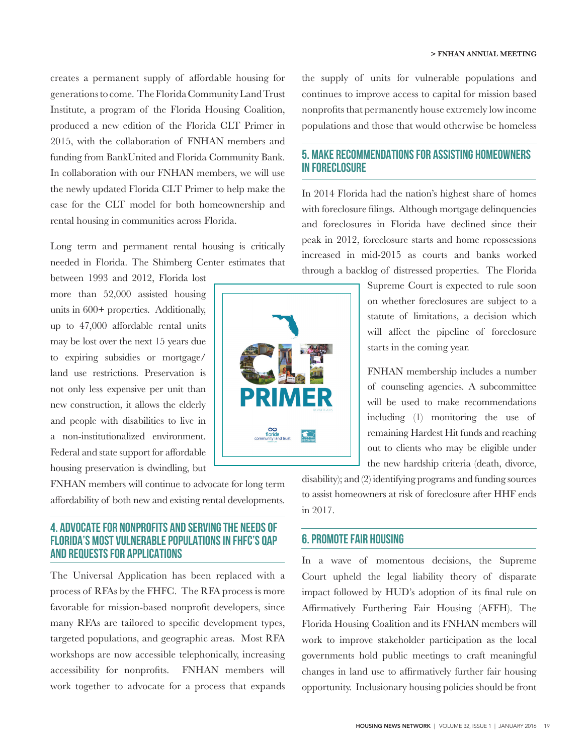creates a permanent supply of affordable housing for generations to come. The Florida Community Land Trust Institute, a program of the Florida Housing Coalition, produced a new edition of the Florida CLT Primer in 2015, with the collaboration of FNHAN members and funding from BankUnited and Florida Community Bank. In collaboration with our FNHAN members, we will use the newly updated Florida CLT Primer to help make the case for the CLT model for both homeownership and rental housing in communities across Florida.

Long term and permanent rental housing is critically needed in Florida. The Shimberg Center estimates that

between 1993 and 2012, Florida lost more than 52,000 assisted housing units in 600+ properties. Additionally, up to 47,000 affordable rental units may be lost over the next 15 years due to expiring subsidies or mortgage/ land use restrictions. Preservation is not only less expensive per unit than new construction, it allows the elderly and people with disabilities to live in a non-institutionalized environment. Federal and state support for affordable housing preservation is dwindling, but

FNHAN members will continue to advocate for long term affordability of both new and existing rental developments.

#### 4. Advocate for Nonprofits and serving the needs of Florida's most vulnerable populations in FHFC's QAP and Requests for Applications

The Universal Application has been replaced with a process of RFAs by the FHFC. The RFA process is more favorable for mission-based nonprofit developers, since many RFAs are tailored to specific development types, targeted populations, and geographic areas. Most RFA workshops are now accessible telephonically, increasing accessibility for nonprofits. FNHAN members will work together to advocate for a process that expands



the supply of units for vulnerable populations and continues to improve access to capital for mission based nonprofits that permanently house extremely low income populations and those that would otherwise be homeless

#### 5. Make Recommendations for Assisting Homeowners in Foreclosure

In 2014 Florida had the nation's highest share of homes with foreclosure filings. Although mortgage delinquencies and foreclosures in Florida have declined since their peak in 2012, foreclosure starts and home repossessions increased in mid-2015 as courts and banks worked through a backlog of distressed properties. The Florida

> Supreme Court is expected to rule soon on whether foreclosures are subject to a statute of limitations, a decision which will affect the pipeline of foreclosure starts in the coming year.

> FNHAN membership includes a number of counseling agencies. A subcommittee will be used to make recommendations including (1) monitoring the use of remaining Hardest Hit funds and reaching out to clients who may be eligible under the new hardship criteria (death, divorce,

disability); and (2) identifying programs and funding sources to assist homeowners at risk of foreclosure after HHF ends in 2017.

#### 6. Promote Fair Housing

In a wave of momentous decisions, the Supreme Court upheld the legal liability theory of disparate impact followed by HUD's adoption of its final rule on Affirmatively Furthering Fair Housing (AFFH). The Florida Housing Coalition and its FNHAN members will work to improve stakeholder participation as the local governments hold public meetings to craft meaningful changes in land use to affirmatively further fair housing opportunity. Inclusionary housing policies should be front